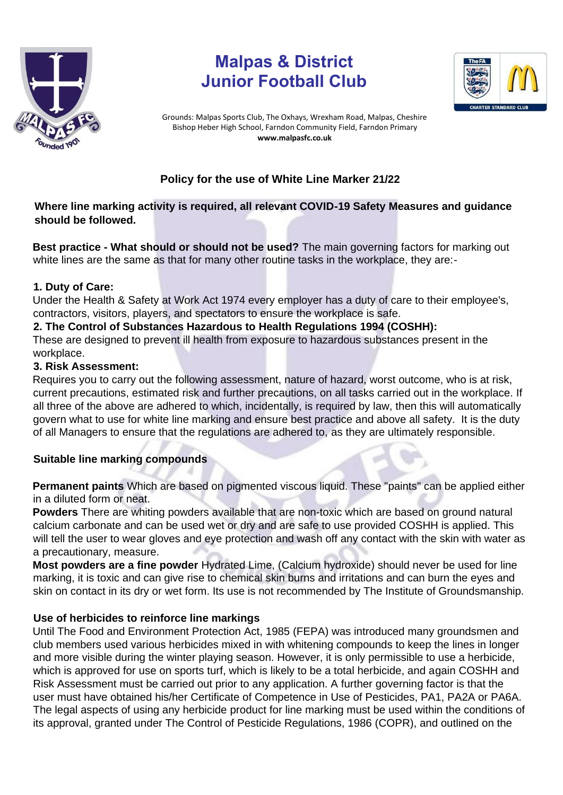

# **Malpas & District Junior Football Club**



Grounds: Malpas Sports Club, The Oxhays, Wrexham Road, Malpas, Cheshire Bishop Heber High School, Farndon Community Field, Farndon Primary **www.malpasfc.co.uk** 

# **Policy for the use of White Line Marker 21/22**

# **Where line marking activity is required, all relevant COVID-19 Safety Measures and guidance should be followed.**

**Best practice - What should or should not be used?** The main governing factors for marking out white lines are the same as that for many other routine tasks in the workplace, they are:-

#### **1. Duty of Care:**

Under the Health & Safety at Work Act 1974 every employer has a duty of care to their employee's, contractors, visitors, players, and spectators to ensure the workplace is safe.

#### **2. The Control of Substances Hazardous to Health Regulations 1994 (COSHH):**

These are designed to prevent ill health from exposure to hazardous substances present in the workplace.

### **3. Risk Assessment:**

Requires you to carry out the following assessment, nature of hazard, worst outcome, who is at risk, current precautions, estimated risk and further precautions, on all tasks carried out in the workplace. If all three of the above are adhered to which, incidentally, is required by law, then this will automatically govern what to use for white line marking and ensure best practice and above all safety. It is the duty of all Managers to ensure that the regulations are adhered to, as they are ultimately responsible.

# **Suitable line marking compounds**

**Permanent paints** Which are based on pigmented viscous liquid. These "paints" can be applied either in a diluted form or neat.

**Powders** There are whiting powders available that are non-toxic which are based on ground natural calcium carbonate and can be used wet or dry and are safe to use provided COSHH is applied. This will tell the user to wear gloves and eye protection and wash off any contact with the skin with water as a precautionary, measure.

**Most powders are a fine powder** Hydrated Lime, (Calcium hydroxide) should never be used for line marking, it is toxic and can give rise to chemical skin burns and irritations and can burn the eyes and skin on contact in its dry or wet form. Its use is not recommended by The Institute of Groundsmanship.

# **Use of herbicides to reinforce line markings**

Until The Food and Environment Protection Act, 1985 (FEPA) was introduced many groundsmen and club members used various herbicides mixed in with whitening compounds to keep the lines in longer and more visible during the winter playing season. However, it is only permissible to use a herbicide, which is approved for use on sports turf, which is likely to be a total herbicide, and again COSHH and Risk Assessment must be carried out prior to any application. A further governing factor is that the user must have obtained his/her Certificate of Competence in Use of Pesticides, PA1, PA2A or PA6A. The legal aspects of using any herbicide product for line marking must be used within the conditions of its approval, granted under The Control of Pesticide Regulations, 1986 (COPR), and outlined on the